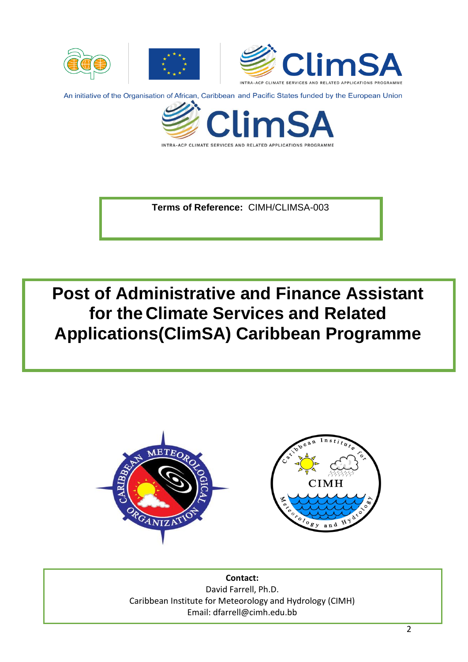

INTRA-ACP CLIMATE SERVICES AND RELATED APPLICATIONS PROGRAMME

**Terms of Reference:** CIMH/CLIMSA-003

**Post of Administrative and Finance Assistant for the Climate Services and Related Applications(ClimSA) Caribbean Programme**



**Contact:** David Farrell, Ph.D. Caribbean Institute for Meteorology and Hydrology (CIMH) Email: [dfarrell@cimh.edu.bb](mailto:dfarrell@cimh.edu.bb)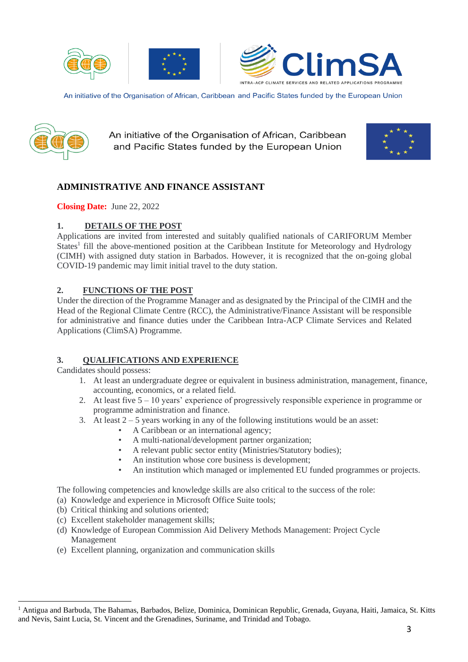







An initiative of the Organisation of African, Caribbean and Pacific States funded by the European Union



# **ADMINISTRATIVE AND FINANCE ASSISTANT**

**Closing Date:** June 22, 2022

### **1. DETAILS OF THE POST**

Applications are invited from interested and suitably qualified nationals of CARIFORUM Member States<sup>1</sup> fill the above-mentioned position at the Caribbean Institute for Meteorology and Hydrology (CIMH) with assigned duty station in Barbados. However, it is recognized that the on-going global COVID-19 pandemic may limit initial travel to the duty station.

### **2. FUNCTIONS OF THE POST**

Under the direction of the Programme Manager and as designated by the Principal of the CIMH and the Head of the Regional Climate Centre (RCC), the Administrative/Finance Assistant will be responsible for administrative and finance duties under the Caribbean Intra-ACP Climate Services and Related Applications (ClimSA) Programme.

# **3. QUALIFICATIONS AND EXPERIENCE**

Candidates should possess:

- 1. At least an undergraduate degree or equivalent in business administration, management, finance, accounting, economics, or a related field.
- 2. At least five 5 10 years' experience of progressively responsible experience in programme or programme administration and finance.
- 3. At least  $2 5$  years working in any of the following institutions would be an asset:
	- A Caribbean or an international agency;
	- A multi-national/development partner organization;
	- A relevant public sector entity (Ministries/Statutory bodies);
	- An institution whose core business is development;
	- An institution which managed or implemented EU funded programmes or projects.

The following competencies and knowledge skills are also critical to the success of the role:

- (a) Knowledge and experience in Microsoft Office Suite tools;
- (b) Critical thinking and solutions oriented;
- (c) Excellent stakeholder management skills;
- (d) Knowledge of European Commission Aid Delivery Methods Management: Project Cycle Management
- (e) Excellent planning, organization and communication skills

<sup>&</sup>lt;sup>1</sup> Antigua and Barbuda, The Bahamas, Barbados, Belize, Dominica, Dominican Republic, Grenada, Guyana, Haiti, Jamaica, St. Kitts and Nevis, Saint Lucia, St. Vincent and the Grenadines, Suriname, and Trinidad and Tobago.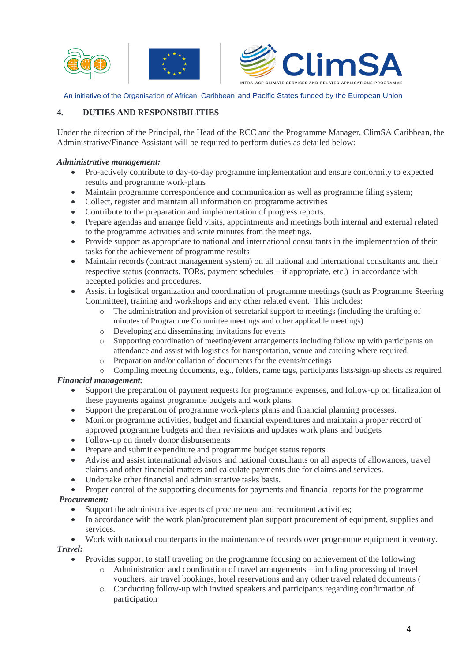



## **4. DUTIES AND RESPONSIBILITIES**

Under the direction of the Principal, the Head of the RCC and the Programme Manager, ClimSA Caribbean, the Administrative/Finance Assistant will be required to perform duties as detailed below:

#### *Administrative management:*

- Pro-actively contribute to day-to-day programme implementation and ensure conformity to expected results and programme work-plans
- Maintain programme correspondence and communication as well as programme filing system;
- Collect, register and maintain all information on programme activities
- Contribute to the preparation and implementation of progress reports.
- Prepare agendas and arrange field visits, appointments and meetings both internal and external related to the programme activities and write minutes from the meetings.
- Provide support as appropriate to national and international consultants in the implementation of their tasks for the achievement of programme results
- Maintain records (contract management system) on all national and international consultants and their respective status (contracts, TORs, payment schedules – if appropriate, etc.) in accordance with accepted policies and procedures.
- Assist in logistical organization and coordination of programme meetings (such as Programme Steering Committee), training and workshops and any other related event. This includes:
	- o The administration and provision of secretarial support to meetings (including the drafting of minutes of Programme Committee meetings and other applicable meetings)
	- o Developing and disseminating invitations for events
	- o Supporting coordination of meeting/event arrangements including follow up with participants on attendance and assist with logistics for transportation, venue and catering where required.
	- o Preparation and/or collation of documents for the events/meetings
	- o Compiling meeting documents, e.g., folders, name tags, participants lists/sign-up sheets as required

### *Financial management:*

- Support the preparation of payment requests for programme expenses, and follow-up on finalization of these payments against programme budgets and work plans.
- Support the preparation of programme work-plans plans and financial planning processes.
- Monitor programme activities, budget and financial expenditures and maintain a proper record of approved programme budgets and their revisions and updates work plans and budgets
- Follow-up on timely donor disbursements
- Prepare and submit expenditure and programme budget status reports
- Advise and assist international advisors and national consultants on all aspects of allowances, travel claims and other financial matters and calculate payments due for claims and services.
- Undertake other financial and administrative tasks basis.
- Proper control of the supporting documents for payments and financial reports for the programme *Procurement:*

# • Support the administrative aspects of procurement and recruitment activities;

- In accordance with the work plan/procurement plan support procurement of equipment, supplies and services.
- Work with national counterparts in the maintenance of records over programme equipment inventory. *Travel:*

# • Provides support to staff traveling on the programme focusing on achievement of the following:

- o Administration and coordination of travel arrangements including processing of travel vouchers, air travel bookings, hotel reservations and any other travel related documents (
- o Conducting follow-up with invited speakers and participants regarding confirmation of participation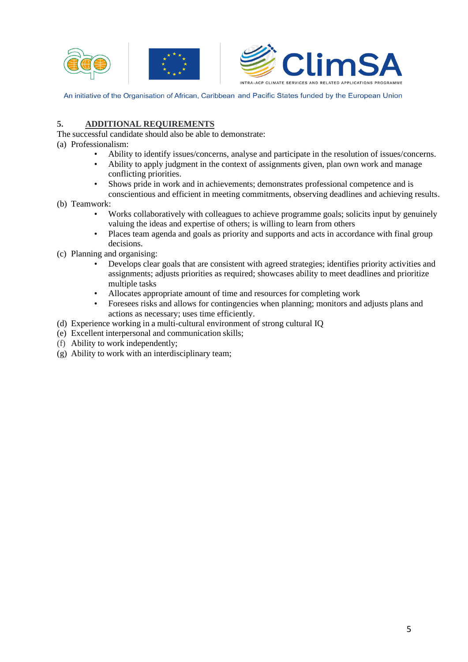



### **5. ADDITIONAL REQUIREMENTS**

- The successful candidate should also be able to demonstrate:
- (a) Professionalism:
	- Ability to identify issues/concerns, analyse and participate in the resolution of issues/concerns.
	- Ability to apply judgment in the context of assignments given, plan own work and manage conflicting priorities.
	- Shows pride in work and in achievements; demonstrates professional competence and is conscientious and efficient in meeting commitments, observing deadlines and achieving results.
- (b) Teamwork:
	- Works collaboratively with colleagues to achieve programme goals; solicits input by genuinely valuing the ideas and expertise of others; is willing to learn from others
	- Places team agenda and goals as priority and supports and acts in accordance with final group decisions.
- (c) Planning and organising:
	- Develops clear goals that are consistent with agreed strategies; identifies priority activities and assignments; adjusts priorities as required; showcases ability to meet deadlines and prioritize multiple tasks
	- Allocates appropriate amount of time and resources for completing work
	- Foresees risks and allows for contingencies when planning; monitors and adjusts plans and actions as necessary; uses time efficiently.
- (d) Experience working in a multi-cultural environment of strong cultural IQ
- (e) Excellent interpersonal and communication skills;
- (f) Ability to work independently;
- (g) Ability to work with an interdisciplinary team;